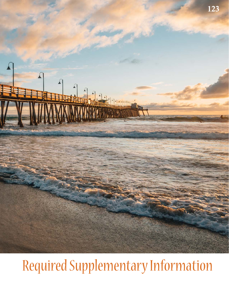

# Required Supplementary Information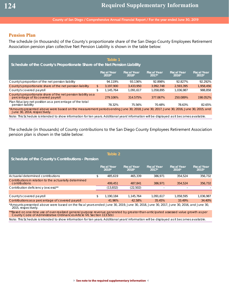### **Pension Plan**

The schedule (in thousands) of the County's proportionate share of the San Diego County Employees Retirement Association pension plan collective Net Pension Liability is shown in the table below:

| Table 1<br>Schedule of the County's Proportionate Share of the Net Pension Liability                                                                                  |                               |                               |                               |                               |                               |  |  |
|-----------------------------------------------------------------------------------------------------------------------------------------------------------------------|-------------------------------|-------------------------------|-------------------------------|-------------------------------|-------------------------------|--|--|
|                                                                                                                                                                       | <b>Fiscal Year</b><br>$2019*$ | <b>Fiscal Year</b><br>$2018*$ | <b>Fiscal Year</b><br>$2017*$ | <b>Fiscal Year</b><br>$2016*$ | <b>Fiscal Year</b><br>$2015*$ |  |  |
| County's proportion of the net pension liability                                                                                                                      | 94.119%                       | 93.136%                       | 92.898%                       | 92.827%                       | 92.292%                       |  |  |
| County's proportionate share of the net pension liability                                                                                                             | $\frac{1}{2}$<br>3.197.900    | 3.433.950                     | 3.992.748                     | 2.593.395                     | 1,958,456                     |  |  |
| County's covered payroll                                                                                                                                              | \$<br>1.145.764               | 1.091.617                     | 1.058.895                     | 1.036.987                     | 988.858                       |  |  |
| County's proportionate share of the net pension liability as a<br>percentage of its covered payroll                                                                   | 279.106%                      | 314.575%                      | 377.067%                      | 250.089%                      | 198.052%                      |  |  |
| Plan fiduciary net position as a percentage of the total<br>pension liability                                                                                         | 78.32%                        | 75.56%                        | 70.48%                        | 78.63%                        | 82.65%                        |  |  |
| *Amounts presented above were based on the measurement periods ending June 30, 2018, June 30, 2017, June 30, 2016, June 30, 2015, and<br>June 30, 2014, respectively. |                               |                               |                               |                               |                               |  |  |
| Note: This Schedule is intended to show information for ten years. Additional years' information will be displayed as it becomes available.                           |                               |                               |                               |                               |                               |  |  |

The schedule (in thousands) of County contributions to the San Diego County Employees Retirement Association pension plan is shown in the table below:

| Table 2<br>Schedule of the County's Contributions - Pension              |    |                               |                             |                               |                               |                               |  |  |
|--------------------------------------------------------------------------|----|-------------------------------|-----------------------------|-------------------------------|-------------------------------|-------------------------------|--|--|
|                                                                          |    | <b>Fiscal Year</b><br>$2019*$ | <b>Fiscal Year</b><br>2018* | <b>Fiscal Year</b><br>$2017*$ | <b>Fiscal Year</b><br>$2016*$ | <b>Fiscal Year</b><br>$2015*$ |  |  |
| Actuarial determined contributions                                       | \$ | 485.619                       | 465.339                     | 386.971                       | 354.524                       | 356,732                       |  |  |
| Contributions in relation to the actuarially determined<br>contributions |    | 499.451                       | 487.841                     | 386.971                       | 354,524                       | 356,732                       |  |  |
| Contribution deficiency (excess)**                                       |    | (13,832)                      | (22, 502)                   |                               |                               |                               |  |  |
|                                                                          |    |                               |                             |                               |                               |                               |  |  |
| County's covered payroll                                                 | \$ | 1.190.184                     | 1.145.764                   | 1.091.617                     | 1.058.595                     | 1,036,987                     |  |  |
| Contributions as a percentage of covered payroll                         |    | 41.96%                        | 42.58%                      | 35.45%                        | 33.49%                        | 34.40%                        |  |  |
|                                                                          |    |                               |                             |                               |                               |                               |  |  |

\*Amounts presented above were based on the fiscal years ended June 30, 2019, June 30, 2018, June 30, 2017, June 30, 2016, and June 30, 2015, respectively.

\*\*Based on one-time use of over-realized general purpose revenue generated by greater-than-anticipated assessed value growth as per County Code of Administrative Ordinances Article VII, Section 113.5(b)

Note: This Schedule is intended to show information for ten years. Additional years' information will be displayed as it becomes available.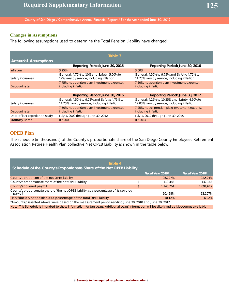## **Changes in Assumptions**

The following assumptions used to determine the Total Pension Liability have changed:

|                               | Table 3                                                                                      |                                                                                               |
|-------------------------------|----------------------------------------------------------------------------------------------|-----------------------------------------------------------------------------------------------|
| <b>Actuarial Assumptions</b>  |                                                                                              |                                                                                               |
|                               | Reporting Period: June 30, 2015                                                              | Reporting Period: June 30, 2016                                                               |
| Inflation                     | 3.25%                                                                                        | 3.00%                                                                                         |
| Salary increases              | General: 4.75% to 10% and Safety: 5.00% to<br>12% vary by service, including inflation.      | General: 4.50% to 9.75% and Safety: 4.75% to<br>11.75% vary by service, including inflation.  |
| Discount rate                 | 7.75%, net pension plan investment expense,<br>including inflation.                          | 7.50%, net pension plan investment expense,<br>including inflation.                           |
|                               |                                                                                              |                                                                                               |
|                               | Reporting Period: June 30, 2016                                                              | Reporting Period: June 30, 2017                                                               |
| Salary increases              | General: 4.50% to 9.75% and Safety: 4.75% to<br>11.75% vary by service, including inflation. | General: 4.25% to 10.25% and Safety: 4.50% to<br>12.00% vary by service, including inflation. |
| Discount rate                 | 7.50%, net pension plan investment expense,<br>including inflation.                          | 7.25%, net of pension plan investment expense,<br>including inflation.                        |
| Date of last experience study | July 1, 2009 through June 30, 2012                                                           | July 1, 2012 through June 30, 2015                                                            |
| <b>Mortality Rates</b>        | RP-2000                                                                                      | RP-2014                                                                                       |

### **OPEB Plan**

The schedule (in thousands) of the County's proportionate share of the San Diego County Employees Retirement Association Retiree Health Plan collective Net OPEB Liability is shown in the table below:

| Table 4<br>Schedule of the County's Proportionate Share of the Net OPEB Liability                                                           |                   |                   |
|---------------------------------------------------------------------------------------------------------------------------------------------|-------------------|-------------------|
|                                                                                                                                             | Fiscal Year 2019* | Fiscal Year 2018* |
| County's proportion of the net OPEB liability                                                                                               | 93.227%           | 92.594%           |
| County's proportionate share of the net OPEB liability                                                                                      | \$<br>119,483     | 132.163           |
| County's covered payroll                                                                                                                    | \$<br>1.145.764   | 1,091,617         |
| County's proportionate share of the net OPEB liability as a percentage of its covered<br>payroll                                            | 10.428%           | 12.107%           |
| Plan fiduciary net position as a percentage of the total OPEB liability                                                                     | 10.12%            | 6.92%             |
| *Amounts presented above were based on the measurement periods ending June 30, 2018 and June 30, 2017.                                      |                   |                   |
| Note: This Schedule is intended to show information for ten years. Additional years' information will be displayed as it becomes available. |                   |                   |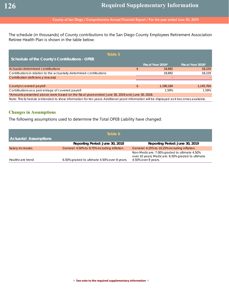The schedule (in thousands) of County contributions to the San Diego County Employees Retirement Association Retiree Health Plan is shown in the table below:

| Table 5<br>Schedule of the County's Contributions - OPEB                                                                                    |    |                   |                   |  |  |  |  |  |
|---------------------------------------------------------------------------------------------------------------------------------------------|----|-------------------|-------------------|--|--|--|--|--|
|                                                                                                                                             |    | Fiscal Year 2019* | Fiscal Year 2018* |  |  |  |  |  |
| Actuarial determined contributions                                                                                                          | \$ | 18,892            | 18.229            |  |  |  |  |  |
| Contributions in relation to the actuarially determined contributions                                                                       |    | 18.892            | 18,229            |  |  |  |  |  |
| Contribution deficiency (excess)                                                                                                            |    |                   |                   |  |  |  |  |  |
|                                                                                                                                             |    |                   |                   |  |  |  |  |  |
| County's covered payroll                                                                                                                    | \$ | 1.190.184         | 1.145.764         |  |  |  |  |  |
| Contributions as a percentage of covered payroll                                                                                            |    | 1.59%             | 1.59%             |  |  |  |  |  |
| *Amounts presented above were based on the fiscal years ended June 30, 2019 and June 30, 2018.                                              |    |                   |                   |  |  |  |  |  |
| Note: This Schedule is intended to show information for ten years. Additional years' information will be displayed as it becomes available. |    |                   |                   |  |  |  |  |  |

### **Changes in Assumptions**

The following assumptions used to determine the Total OPEB Liability have changed:

|                              | Table 6                                      |                                                                                                                          |
|------------------------------|----------------------------------------------|--------------------------------------------------------------------------------------------------------------------------|
| <b>Actuarial Assumptions</b> |                                              |                                                                                                                          |
|                              | Reporting Period: June 30, 2018              | Reporting Period: June 30, 2019                                                                                          |
| Salary increases             | General: 4.50% to 9.75% including inflation. | General: 4.25% to 10.25% including inflation.                                                                            |
| Healthcare trend             | 6.50% graded to ultimate 4.50% over 8 years. | Non-Medicare: 7.00% graded to ultimate 4.50%<br>over 10 years; Medicare: 6.50% graded to ultimate<br>4.50% over 8 years. |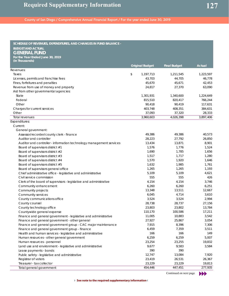| SCHEDULE OF REVENUES, EXPENDITURES, AND CHANGES IN FUND BALANCE -   |                        |                     |               |
|---------------------------------------------------------------------|------------------------|---------------------|---------------|
| <b>BUDGET AND ACTUAL</b>                                            |                        |                     |               |
| <b>GENERAL FUND</b>                                                 |                        |                     |               |
| For the Year Ended June 30, 2019                                    |                        |                     |               |
| (In Thousands)                                                      |                        |                     |               |
|                                                                     | <b>Original Budget</b> | <b>Final Budget</b> | <b>Actual</b> |
| Revenues:                                                           |                        |                     |               |
| Taxes                                                               | \$<br>1,197,713        | 1,211,545           | 1,223,597     |
| Licenses, permits and franchise fees                                | 43,703                 | 44,705              | 46,778        |
| Fines, forfeitures and penalties                                    | 45,670                 | 45,671              | 42,453        |
| Revenue from use of money and property                              | 24,817                 | 27,370              | 63,090        |
| Aid from other governmental agencies:                               |                        |                     |               |
| State                                                               | 1,301,931              | 1,340,600           | 1,224,649     |
| Federal                                                             | 815,510                | 820,417             | 766,244       |
| Other                                                               | 90,418                 | 90,419              | 117,631       |
| Charges for current services                                        | 403,748                | 408,351             | 384,631       |
| Other                                                               | 37,093                 | 37.320              | 28,333        |
| <b>Total revenues</b>                                               | 3,960,603              | 4,026,398           | 3,897,406     |
| <b>Expenditures:</b>                                                |                        |                     |               |
| Current:                                                            |                        |                     |               |
| General government:                                                 |                        |                     |               |
| Assessor/recorder/county clerk - finance                            | 49,386                 | 49,386              | 40,573        |
| Auditor and controller                                              | 28,223                 | 27,792              | 26,850        |
| Auditor and controller - information technology management services | 13,434                 | 13,871              | 8,901         |
| Board of supervisors district #1                                    | 1,576                  | 1,776               | 1,524         |
| Board of supervisors district #2                                    | 1,690                  | 1,785               | 1,656         |
| Board of supervisors district #3                                    | 1,517                  | 1,717               | 1,280         |
| Board of supervisors district #4                                    | 1,570                  | 1,920               | 1,646         |
| Board of supervisors district #5                                    | 1,632                  | 1,985               | 1,761         |
| Board of supervisors general office                                 | 1,265                  | 1,265               | 1,193         |
| Chief administrative office - legislative and administrative        | 5,109                  | 5,109               | 4,621         |
| Civil service commission                                            | 555                    | 555                 | 426           |
| Clerk of the board of supervisors - legislative and administrative  | 4,154                  | 4,154               | 3,746         |
| Community enhancement                                               | 6,260                  | 6,260               | 6,251         |
| Community projects                                                  | 13,348                 | 13,511              | 12,667        |
| Community services                                                  | 6,045                  | 4,714               | 3,610         |
| County communications office                                        | 3,524                  | 3,524               | 2,994         |
| County counsel                                                      | 28,738                 | 28,737              | 27,156        |
| County technology office                                            | 23,803                 | 23,802              | 13,784        |
| Countywide general expense                                          | 110,170                | 100,586             | 17,211        |
| Finance and general government - legislative and administrative     | 11,005                 | 10,883              | 3,542         |
| Finance and general government - other general                      | 27,927                 | 25,867              | 3,054         |
| Finance and general government group - CAC major maintenance        | 7,915                  | 8,396               | 7,306         |
| Finance and general government group - finance                      | 6,459                  | 7,359               | 3,511         |
| Health and human services - legislative and administrative          | 166                    | 166                 | 149           |
| Human resources - other general government                          | 6,259                  | 6,259               | 5,007         |
| Human resources - personnel                                         | 23,254                 | 23,255              | 19,832        |
| Land use and environment - legislative and administrative           | 9,677                  | 9,583               | 3,584         |
| Lease payments - bonds                                              | 390                    | 390                 |               |
| Public safety - legislative and administrative                      | 12,747                 | 13,084              | 7,920         |
| Registrar of voters                                                 | 23,419                 | 26,531              | 26,367        |
| Treasurer - tax collector                                           | 23,229                 | 23,229              | 19,813        |
| Total general government                                            | 454,446                | 447,451             | 277,935       |

Continued on next page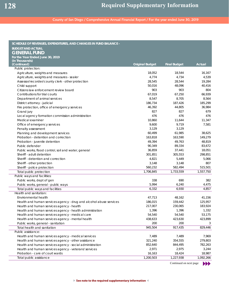| <b>BUDGET AND ACTUAL</b><br><b>GENERAL FUND</b><br>For the Year Ended June 30, 2019<br>(In Thousands)<br>(Continued)<br>Actual<br><b>Original Budget</b><br><b>Final Budget</b><br>Public protection:<br>Agriculture, weights and measures<br>18,052<br>18,544<br>16,167<br>4,774<br>4,734<br>4,539<br>Agriculture, weights and measures - sealer<br>Assessor/recorder/county clerk - other protection<br>28,545<br>28,544<br>19,284<br>Child support<br>50,016<br>48,096<br>40,416<br>Citizens law enforcement review board<br>903<br>903<br>804<br>Contributions for trial courts<br>67,019<br>67,250<br>66,939<br>Department of animal services<br>8,547<br>8,705<br>8,564<br>185,299<br>186,734<br>187,426<br>District attorney - judicial<br>46,392<br>Fire protection, office of emergency services<br>44,805<br>36,984<br>827<br>827<br>679<br>Grand jury<br>476<br>476<br>476<br>Local agency formation commission administration<br>10,860<br>Medical examiner<br>11,644<br>11,347<br>9,719<br>Office of emergency services<br>9,600<br>7,581<br>3,129<br>3,129<br>Penalty assessment<br>Planning and development services<br>60,499<br>61,985<br>38,625<br>149,279<br>Probation - detention and correction<br>163,818<br>163,590<br>49,394<br>49,763<br>48,819<br>Probation - juvenile detention<br>90,349<br>89,334<br>83,672<br>Public defender<br>Public works, flood control, soil and water, general<br>36,859<br>37,441<br>18,051<br>301,851<br>305,553<br>298,851<br>Sheriff - adult detention<br>Sheriff - detention and correction<br>4,821<br>5,449<br>5,066<br>Sheriff - other protection<br>3,148<br>3,148<br>807<br>560,232<br>582,494<br>515,501<br>Sheriff - police protection<br>1,706,845<br>1,733,559<br>1,557,750<br>Total public protection<br>Public ways and facilities:<br>338<br>690<br>Public works, dept of gen<br>382<br>5,994<br>Public works, general - public ways<br>6,240<br>4,475<br>Total public ways and facilities<br>6,332<br>6,930<br>4,857<br>Health and sanitation:<br>Environmental health<br>47,713<br>48,162<br>41,156<br>186,015<br>159,442<br>125,957<br>Health and human services agency - drug and alcohol abuse services<br>217,007<br>230,065<br>183,924<br>Health and human services agency - health<br>Health and human services agency - health administration<br>1,396<br>1,396<br>1,332<br>54,540<br>Health and human services agency - medical care<br>54,540<br>53,175<br>Health and human services agency - mental health<br>423,899<br>438,633<br>423,630<br>200<br>200<br>Public works, general - sanitation<br>3<br>945,504<br>917,435<br>829,446<br>Total health and sanitation<br>Public assistance:<br>7,489<br>7,969<br>Health and human services agency - medical services<br>7,489<br>Health and human services agency - other assistance<br>321,240<br>354,555<br>279,803<br>782,263<br>Health and human services agency - social administration<br>852,640<br>844,495<br>Health and human services agency - veterans' services<br>2,971<br>2,975<br>3,244<br>Probation - care of court wards<br>16,163<br>18,424<br>18,987<br>1,200,503<br>1,227,938<br>1,092,266<br>Total public assistance | SCHEDULE OF REVENUES, EXPENDITURES, AND CHANGES IN FUND BALANCE - |  |  |
|----------------------------------------------------------------------------------------------------------------------------------------------------------------------------------------------------------------------------------------------------------------------------------------------------------------------------------------------------------------------------------------------------------------------------------------------------------------------------------------------------------------------------------------------------------------------------------------------------------------------------------------------------------------------------------------------------------------------------------------------------------------------------------------------------------------------------------------------------------------------------------------------------------------------------------------------------------------------------------------------------------------------------------------------------------------------------------------------------------------------------------------------------------------------------------------------------------------------------------------------------------------------------------------------------------------------------------------------------------------------------------------------------------------------------------------------------------------------------------------------------------------------------------------------------------------------------------------------------------------------------------------------------------------------------------------------------------------------------------------------------------------------------------------------------------------------------------------------------------------------------------------------------------------------------------------------------------------------------------------------------------------------------------------------------------------------------------------------------------------------------------------------------------------------------------------------------------------------------------------------------------------------------------------------------------------------------------------------------------------------------------------------------------------------------------------------------------------------------------------------------------------------------------------------------------------------------------------------------------------------------------------------------------------------------------------------------------------------------------------------------------------------------------------------------------------------------------------------------------------------------------------------------------------------------------------------------------------------------------------------------------------------------------------------------------------------------------------------------------------------------------------------------------------------------|-------------------------------------------------------------------|--|--|
|                                                                                                                                                                                                                                                                                                                                                                                                                                                                                                                                                                                                                                                                                                                                                                                                                                                                                                                                                                                                                                                                                                                                                                                                                                                                                                                                                                                                                                                                                                                                                                                                                                                                                                                                                                                                                                                                                                                                                                                                                                                                                                                                                                                                                                                                                                                                                                                                                                                                                                                                                                                                                                                                                                                                                                                                                                                                                                                                                                                                                                                                                                                                                                            |                                                                   |  |  |
|                                                                                                                                                                                                                                                                                                                                                                                                                                                                                                                                                                                                                                                                                                                                                                                                                                                                                                                                                                                                                                                                                                                                                                                                                                                                                                                                                                                                                                                                                                                                                                                                                                                                                                                                                                                                                                                                                                                                                                                                                                                                                                                                                                                                                                                                                                                                                                                                                                                                                                                                                                                                                                                                                                                                                                                                                                                                                                                                                                                                                                                                                                                                                                            |                                                                   |  |  |
|                                                                                                                                                                                                                                                                                                                                                                                                                                                                                                                                                                                                                                                                                                                                                                                                                                                                                                                                                                                                                                                                                                                                                                                                                                                                                                                                                                                                                                                                                                                                                                                                                                                                                                                                                                                                                                                                                                                                                                                                                                                                                                                                                                                                                                                                                                                                                                                                                                                                                                                                                                                                                                                                                                                                                                                                                                                                                                                                                                                                                                                                                                                                                                            |                                                                   |  |  |
|                                                                                                                                                                                                                                                                                                                                                                                                                                                                                                                                                                                                                                                                                                                                                                                                                                                                                                                                                                                                                                                                                                                                                                                                                                                                                                                                                                                                                                                                                                                                                                                                                                                                                                                                                                                                                                                                                                                                                                                                                                                                                                                                                                                                                                                                                                                                                                                                                                                                                                                                                                                                                                                                                                                                                                                                                                                                                                                                                                                                                                                                                                                                                                            |                                                                   |  |  |
|                                                                                                                                                                                                                                                                                                                                                                                                                                                                                                                                                                                                                                                                                                                                                                                                                                                                                                                                                                                                                                                                                                                                                                                                                                                                                                                                                                                                                                                                                                                                                                                                                                                                                                                                                                                                                                                                                                                                                                                                                                                                                                                                                                                                                                                                                                                                                                                                                                                                                                                                                                                                                                                                                                                                                                                                                                                                                                                                                                                                                                                                                                                                                                            |                                                                   |  |  |
|                                                                                                                                                                                                                                                                                                                                                                                                                                                                                                                                                                                                                                                                                                                                                                                                                                                                                                                                                                                                                                                                                                                                                                                                                                                                                                                                                                                                                                                                                                                                                                                                                                                                                                                                                                                                                                                                                                                                                                                                                                                                                                                                                                                                                                                                                                                                                                                                                                                                                                                                                                                                                                                                                                                                                                                                                                                                                                                                                                                                                                                                                                                                                                            |                                                                   |  |  |
|                                                                                                                                                                                                                                                                                                                                                                                                                                                                                                                                                                                                                                                                                                                                                                                                                                                                                                                                                                                                                                                                                                                                                                                                                                                                                                                                                                                                                                                                                                                                                                                                                                                                                                                                                                                                                                                                                                                                                                                                                                                                                                                                                                                                                                                                                                                                                                                                                                                                                                                                                                                                                                                                                                                                                                                                                                                                                                                                                                                                                                                                                                                                                                            |                                                                   |  |  |
|                                                                                                                                                                                                                                                                                                                                                                                                                                                                                                                                                                                                                                                                                                                                                                                                                                                                                                                                                                                                                                                                                                                                                                                                                                                                                                                                                                                                                                                                                                                                                                                                                                                                                                                                                                                                                                                                                                                                                                                                                                                                                                                                                                                                                                                                                                                                                                                                                                                                                                                                                                                                                                                                                                                                                                                                                                                                                                                                                                                                                                                                                                                                                                            |                                                                   |  |  |
|                                                                                                                                                                                                                                                                                                                                                                                                                                                                                                                                                                                                                                                                                                                                                                                                                                                                                                                                                                                                                                                                                                                                                                                                                                                                                                                                                                                                                                                                                                                                                                                                                                                                                                                                                                                                                                                                                                                                                                                                                                                                                                                                                                                                                                                                                                                                                                                                                                                                                                                                                                                                                                                                                                                                                                                                                                                                                                                                                                                                                                                                                                                                                                            |                                                                   |  |  |
|                                                                                                                                                                                                                                                                                                                                                                                                                                                                                                                                                                                                                                                                                                                                                                                                                                                                                                                                                                                                                                                                                                                                                                                                                                                                                                                                                                                                                                                                                                                                                                                                                                                                                                                                                                                                                                                                                                                                                                                                                                                                                                                                                                                                                                                                                                                                                                                                                                                                                                                                                                                                                                                                                                                                                                                                                                                                                                                                                                                                                                                                                                                                                                            |                                                                   |  |  |
|                                                                                                                                                                                                                                                                                                                                                                                                                                                                                                                                                                                                                                                                                                                                                                                                                                                                                                                                                                                                                                                                                                                                                                                                                                                                                                                                                                                                                                                                                                                                                                                                                                                                                                                                                                                                                                                                                                                                                                                                                                                                                                                                                                                                                                                                                                                                                                                                                                                                                                                                                                                                                                                                                                                                                                                                                                                                                                                                                                                                                                                                                                                                                                            |                                                                   |  |  |
|                                                                                                                                                                                                                                                                                                                                                                                                                                                                                                                                                                                                                                                                                                                                                                                                                                                                                                                                                                                                                                                                                                                                                                                                                                                                                                                                                                                                                                                                                                                                                                                                                                                                                                                                                                                                                                                                                                                                                                                                                                                                                                                                                                                                                                                                                                                                                                                                                                                                                                                                                                                                                                                                                                                                                                                                                                                                                                                                                                                                                                                                                                                                                                            |                                                                   |  |  |
|                                                                                                                                                                                                                                                                                                                                                                                                                                                                                                                                                                                                                                                                                                                                                                                                                                                                                                                                                                                                                                                                                                                                                                                                                                                                                                                                                                                                                                                                                                                                                                                                                                                                                                                                                                                                                                                                                                                                                                                                                                                                                                                                                                                                                                                                                                                                                                                                                                                                                                                                                                                                                                                                                                                                                                                                                                                                                                                                                                                                                                                                                                                                                                            |                                                                   |  |  |
|                                                                                                                                                                                                                                                                                                                                                                                                                                                                                                                                                                                                                                                                                                                                                                                                                                                                                                                                                                                                                                                                                                                                                                                                                                                                                                                                                                                                                                                                                                                                                                                                                                                                                                                                                                                                                                                                                                                                                                                                                                                                                                                                                                                                                                                                                                                                                                                                                                                                                                                                                                                                                                                                                                                                                                                                                                                                                                                                                                                                                                                                                                                                                                            |                                                                   |  |  |
|                                                                                                                                                                                                                                                                                                                                                                                                                                                                                                                                                                                                                                                                                                                                                                                                                                                                                                                                                                                                                                                                                                                                                                                                                                                                                                                                                                                                                                                                                                                                                                                                                                                                                                                                                                                                                                                                                                                                                                                                                                                                                                                                                                                                                                                                                                                                                                                                                                                                                                                                                                                                                                                                                                                                                                                                                                                                                                                                                                                                                                                                                                                                                                            |                                                                   |  |  |
|                                                                                                                                                                                                                                                                                                                                                                                                                                                                                                                                                                                                                                                                                                                                                                                                                                                                                                                                                                                                                                                                                                                                                                                                                                                                                                                                                                                                                                                                                                                                                                                                                                                                                                                                                                                                                                                                                                                                                                                                                                                                                                                                                                                                                                                                                                                                                                                                                                                                                                                                                                                                                                                                                                                                                                                                                                                                                                                                                                                                                                                                                                                                                                            |                                                                   |  |  |
|                                                                                                                                                                                                                                                                                                                                                                                                                                                                                                                                                                                                                                                                                                                                                                                                                                                                                                                                                                                                                                                                                                                                                                                                                                                                                                                                                                                                                                                                                                                                                                                                                                                                                                                                                                                                                                                                                                                                                                                                                                                                                                                                                                                                                                                                                                                                                                                                                                                                                                                                                                                                                                                                                                                                                                                                                                                                                                                                                                                                                                                                                                                                                                            |                                                                   |  |  |
|                                                                                                                                                                                                                                                                                                                                                                                                                                                                                                                                                                                                                                                                                                                                                                                                                                                                                                                                                                                                                                                                                                                                                                                                                                                                                                                                                                                                                                                                                                                                                                                                                                                                                                                                                                                                                                                                                                                                                                                                                                                                                                                                                                                                                                                                                                                                                                                                                                                                                                                                                                                                                                                                                                                                                                                                                                                                                                                                                                                                                                                                                                                                                                            |                                                                   |  |  |
|                                                                                                                                                                                                                                                                                                                                                                                                                                                                                                                                                                                                                                                                                                                                                                                                                                                                                                                                                                                                                                                                                                                                                                                                                                                                                                                                                                                                                                                                                                                                                                                                                                                                                                                                                                                                                                                                                                                                                                                                                                                                                                                                                                                                                                                                                                                                                                                                                                                                                                                                                                                                                                                                                                                                                                                                                                                                                                                                                                                                                                                                                                                                                                            |                                                                   |  |  |
|                                                                                                                                                                                                                                                                                                                                                                                                                                                                                                                                                                                                                                                                                                                                                                                                                                                                                                                                                                                                                                                                                                                                                                                                                                                                                                                                                                                                                                                                                                                                                                                                                                                                                                                                                                                                                                                                                                                                                                                                                                                                                                                                                                                                                                                                                                                                                                                                                                                                                                                                                                                                                                                                                                                                                                                                                                                                                                                                                                                                                                                                                                                                                                            |                                                                   |  |  |
|                                                                                                                                                                                                                                                                                                                                                                                                                                                                                                                                                                                                                                                                                                                                                                                                                                                                                                                                                                                                                                                                                                                                                                                                                                                                                                                                                                                                                                                                                                                                                                                                                                                                                                                                                                                                                                                                                                                                                                                                                                                                                                                                                                                                                                                                                                                                                                                                                                                                                                                                                                                                                                                                                                                                                                                                                                                                                                                                                                                                                                                                                                                                                                            |                                                                   |  |  |
|                                                                                                                                                                                                                                                                                                                                                                                                                                                                                                                                                                                                                                                                                                                                                                                                                                                                                                                                                                                                                                                                                                                                                                                                                                                                                                                                                                                                                                                                                                                                                                                                                                                                                                                                                                                                                                                                                                                                                                                                                                                                                                                                                                                                                                                                                                                                                                                                                                                                                                                                                                                                                                                                                                                                                                                                                                                                                                                                                                                                                                                                                                                                                                            |                                                                   |  |  |
|                                                                                                                                                                                                                                                                                                                                                                                                                                                                                                                                                                                                                                                                                                                                                                                                                                                                                                                                                                                                                                                                                                                                                                                                                                                                                                                                                                                                                                                                                                                                                                                                                                                                                                                                                                                                                                                                                                                                                                                                                                                                                                                                                                                                                                                                                                                                                                                                                                                                                                                                                                                                                                                                                                                                                                                                                                                                                                                                                                                                                                                                                                                                                                            |                                                                   |  |  |
|                                                                                                                                                                                                                                                                                                                                                                                                                                                                                                                                                                                                                                                                                                                                                                                                                                                                                                                                                                                                                                                                                                                                                                                                                                                                                                                                                                                                                                                                                                                                                                                                                                                                                                                                                                                                                                                                                                                                                                                                                                                                                                                                                                                                                                                                                                                                                                                                                                                                                                                                                                                                                                                                                                                                                                                                                                                                                                                                                                                                                                                                                                                                                                            |                                                                   |  |  |
|                                                                                                                                                                                                                                                                                                                                                                                                                                                                                                                                                                                                                                                                                                                                                                                                                                                                                                                                                                                                                                                                                                                                                                                                                                                                                                                                                                                                                                                                                                                                                                                                                                                                                                                                                                                                                                                                                                                                                                                                                                                                                                                                                                                                                                                                                                                                                                                                                                                                                                                                                                                                                                                                                                                                                                                                                                                                                                                                                                                                                                                                                                                                                                            |                                                                   |  |  |
|                                                                                                                                                                                                                                                                                                                                                                                                                                                                                                                                                                                                                                                                                                                                                                                                                                                                                                                                                                                                                                                                                                                                                                                                                                                                                                                                                                                                                                                                                                                                                                                                                                                                                                                                                                                                                                                                                                                                                                                                                                                                                                                                                                                                                                                                                                                                                                                                                                                                                                                                                                                                                                                                                                                                                                                                                                                                                                                                                                                                                                                                                                                                                                            |                                                                   |  |  |
|                                                                                                                                                                                                                                                                                                                                                                                                                                                                                                                                                                                                                                                                                                                                                                                                                                                                                                                                                                                                                                                                                                                                                                                                                                                                                                                                                                                                                                                                                                                                                                                                                                                                                                                                                                                                                                                                                                                                                                                                                                                                                                                                                                                                                                                                                                                                                                                                                                                                                                                                                                                                                                                                                                                                                                                                                                                                                                                                                                                                                                                                                                                                                                            |                                                                   |  |  |
|                                                                                                                                                                                                                                                                                                                                                                                                                                                                                                                                                                                                                                                                                                                                                                                                                                                                                                                                                                                                                                                                                                                                                                                                                                                                                                                                                                                                                                                                                                                                                                                                                                                                                                                                                                                                                                                                                                                                                                                                                                                                                                                                                                                                                                                                                                                                                                                                                                                                                                                                                                                                                                                                                                                                                                                                                                                                                                                                                                                                                                                                                                                                                                            |                                                                   |  |  |
|                                                                                                                                                                                                                                                                                                                                                                                                                                                                                                                                                                                                                                                                                                                                                                                                                                                                                                                                                                                                                                                                                                                                                                                                                                                                                                                                                                                                                                                                                                                                                                                                                                                                                                                                                                                                                                                                                                                                                                                                                                                                                                                                                                                                                                                                                                                                                                                                                                                                                                                                                                                                                                                                                                                                                                                                                                                                                                                                                                                                                                                                                                                                                                            |                                                                   |  |  |
|                                                                                                                                                                                                                                                                                                                                                                                                                                                                                                                                                                                                                                                                                                                                                                                                                                                                                                                                                                                                                                                                                                                                                                                                                                                                                                                                                                                                                                                                                                                                                                                                                                                                                                                                                                                                                                                                                                                                                                                                                                                                                                                                                                                                                                                                                                                                                                                                                                                                                                                                                                                                                                                                                                                                                                                                                                                                                                                                                                                                                                                                                                                                                                            |                                                                   |  |  |
|                                                                                                                                                                                                                                                                                                                                                                                                                                                                                                                                                                                                                                                                                                                                                                                                                                                                                                                                                                                                                                                                                                                                                                                                                                                                                                                                                                                                                                                                                                                                                                                                                                                                                                                                                                                                                                                                                                                                                                                                                                                                                                                                                                                                                                                                                                                                                                                                                                                                                                                                                                                                                                                                                                                                                                                                                                                                                                                                                                                                                                                                                                                                                                            |                                                                   |  |  |
|                                                                                                                                                                                                                                                                                                                                                                                                                                                                                                                                                                                                                                                                                                                                                                                                                                                                                                                                                                                                                                                                                                                                                                                                                                                                                                                                                                                                                                                                                                                                                                                                                                                                                                                                                                                                                                                                                                                                                                                                                                                                                                                                                                                                                                                                                                                                                                                                                                                                                                                                                                                                                                                                                                                                                                                                                                                                                                                                                                                                                                                                                                                                                                            |                                                                   |  |  |
|                                                                                                                                                                                                                                                                                                                                                                                                                                                                                                                                                                                                                                                                                                                                                                                                                                                                                                                                                                                                                                                                                                                                                                                                                                                                                                                                                                                                                                                                                                                                                                                                                                                                                                                                                                                                                                                                                                                                                                                                                                                                                                                                                                                                                                                                                                                                                                                                                                                                                                                                                                                                                                                                                                                                                                                                                                                                                                                                                                                                                                                                                                                                                                            |                                                                   |  |  |
|                                                                                                                                                                                                                                                                                                                                                                                                                                                                                                                                                                                                                                                                                                                                                                                                                                                                                                                                                                                                                                                                                                                                                                                                                                                                                                                                                                                                                                                                                                                                                                                                                                                                                                                                                                                                                                                                                                                                                                                                                                                                                                                                                                                                                                                                                                                                                                                                                                                                                                                                                                                                                                                                                                                                                                                                                                                                                                                                                                                                                                                                                                                                                                            |                                                                   |  |  |
|                                                                                                                                                                                                                                                                                                                                                                                                                                                                                                                                                                                                                                                                                                                                                                                                                                                                                                                                                                                                                                                                                                                                                                                                                                                                                                                                                                                                                                                                                                                                                                                                                                                                                                                                                                                                                                                                                                                                                                                                                                                                                                                                                                                                                                                                                                                                                                                                                                                                                                                                                                                                                                                                                                                                                                                                                                                                                                                                                                                                                                                                                                                                                                            |                                                                   |  |  |
|                                                                                                                                                                                                                                                                                                                                                                                                                                                                                                                                                                                                                                                                                                                                                                                                                                                                                                                                                                                                                                                                                                                                                                                                                                                                                                                                                                                                                                                                                                                                                                                                                                                                                                                                                                                                                                                                                                                                                                                                                                                                                                                                                                                                                                                                                                                                                                                                                                                                                                                                                                                                                                                                                                                                                                                                                                                                                                                                                                                                                                                                                                                                                                            |                                                                   |  |  |
|                                                                                                                                                                                                                                                                                                                                                                                                                                                                                                                                                                                                                                                                                                                                                                                                                                                                                                                                                                                                                                                                                                                                                                                                                                                                                                                                                                                                                                                                                                                                                                                                                                                                                                                                                                                                                                                                                                                                                                                                                                                                                                                                                                                                                                                                                                                                                                                                                                                                                                                                                                                                                                                                                                                                                                                                                                                                                                                                                                                                                                                                                                                                                                            |                                                                   |  |  |
|                                                                                                                                                                                                                                                                                                                                                                                                                                                                                                                                                                                                                                                                                                                                                                                                                                                                                                                                                                                                                                                                                                                                                                                                                                                                                                                                                                                                                                                                                                                                                                                                                                                                                                                                                                                                                                                                                                                                                                                                                                                                                                                                                                                                                                                                                                                                                                                                                                                                                                                                                                                                                                                                                                                                                                                                                                                                                                                                                                                                                                                                                                                                                                            |                                                                   |  |  |
|                                                                                                                                                                                                                                                                                                                                                                                                                                                                                                                                                                                                                                                                                                                                                                                                                                                                                                                                                                                                                                                                                                                                                                                                                                                                                                                                                                                                                                                                                                                                                                                                                                                                                                                                                                                                                                                                                                                                                                                                                                                                                                                                                                                                                                                                                                                                                                                                                                                                                                                                                                                                                                                                                                                                                                                                                                                                                                                                                                                                                                                                                                                                                                            |                                                                   |  |  |
|                                                                                                                                                                                                                                                                                                                                                                                                                                                                                                                                                                                                                                                                                                                                                                                                                                                                                                                                                                                                                                                                                                                                                                                                                                                                                                                                                                                                                                                                                                                                                                                                                                                                                                                                                                                                                                                                                                                                                                                                                                                                                                                                                                                                                                                                                                                                                                                                                                                                                                                                                                                                                                                                                                                                                                                                                                                                                                                                                                                                                                                                                                                                                                            |                                                                   |  |  |
|                                                                                                                                                                                                                                                                                                                                                                                                                                                                                                                                                                                                                                                                                                                                                                                                                                                                                                                                                                                                                                                                                                                                                                                                                                                                                                                                                                                                                                                                                                                                                                                                                                                                                                                                                                                                                                                                                                                                                                                                                                                                                                                                                                                                                                                                                                                                                                                                                                                                                                                                                                                                                                                                                                                                                                                                                                                                                                                                                                                                                                                                                                                                                                            |                                                                   |  |  |
|                                                                                                                                                                                                                                                                                                                                                                                                                                                                                                                                                                                                                                                                                                                                                                                                                                                                                                                                                                                                                                                                                                                                                                                                                                                                                                                                                                                                                                                                                                                                                                                                                                                                                                                                                                                                                                                                                                                                                                                                                                                                                                                                                                                                                                                                                                                                                                                                                                                                                                                                                                                                                                                                                                                                                                                                                                                                                                                                                                                                                                                                                                                                                                            |                                                                   |  |  |
|                                                                                                                                                                                                                                                                                                                                                                                                                                                                                                                                                                                                                                                                                                                                                                                                                                                                                                                                                                                                                                                                                                                                                                                                                                                                                                                                                                                                                                                                                                                                                                                                                                                                                                                                                                                                                                                                                                                                                                                                                                                                                                                                                                                                                                                                                                                                                                                                                                                                                                                                                                                                                                                                                                                                                                                                                                                                                                                                                                                                                                                                                                                                                                            |                                                                   |  |  |
|                                                                                                                                                                                                                                                                                                                                                                                                                                                                                                                                                                                                                                                                                                                                                                                                                                                                                                                                                                                                                                                                                                                                                                                                                                                                                                                                                                                                                                                                                                                                                                                                                                                                                                                                                                                                                                                                                                                                                                                                                                                                                                                                                                                                                                                                                                                                                                                                                                                                                                                                                                                                                                                                                                                                                                                                                                                                                                                                                                                                                                                                                                                                                                            |                                                                   |  |  |
|                                                                                                                                                                                                                                                                                                                                                                                                                                                                                                                                                                                                                                                                                                                                                                                                                                                                                                                                                                                                                                                                                                                                                                                                                                                                                                                                                                                                                                                                                                                                                                                                                                                                                                                                                                                                                                                                                                                                                                                                                                                                                                                                                                                                                                                                                                                                                                                                                                                                                                                                                                                                                                                                                                                                                                                                                                                                                                                                                                                                                                                                                                                                                                            |                                                                   |  |  |
|                                                                                                                                                                                                                                                                                                                                                                                                                                                                                                                                                                                                                                                                                                                                                                                                                                                                                                                                                                                                                                                                                                                                                                                                                                                                                                                                                                                                                                                                                                                                                                                                                                                                                                                                                                                                                                                                                                                                                                                                                                                                                                                                                                                                                                                                                                                                                                                                                                                                                                                                                                                                                                                                                                                                                                                                                                                                                                                                                                                                                                                                                                                                                                            |                                                                   |  |  |
|                                                                                                                                                                                                                                                                                                                                                                                                                                                                                                                                                                                                                                                                                                                                                                                                                                                                                                                                                                                                                                                                                                                                                                                                                                                                                                                                                                                                                                                                                                                                                                                                                                                                                                                                                                                                                                                                                                                                                                                                                                                                                                                                                                                                                                                                                                                                                                                                                                                                                                                                                                                                                                                                                                                                                                                                                                                                                                                                                                                                                                                                                                                                                                            |                                                                   |  |  |
|                                                                                                                                                                                                                                                                                                                                                                                                                                                                                                                                                                                                                                                                                                                                                                                                                                                                                                                                                                                                                                                                                                                                                                                                                                                                                                                                                                                                                                                                                                                                                                                                                                                                                                                                                                                                                                                                                                                                                                                                                                                                                                                                                                                                                                                                                                                                                                                                                                                                                                                                                                                                                                                                                                                                                                                                                                                                                                                                                                                                                                                                                                                                                                            |                                                                   |  |  |
|                                                                                                                                                                                                                                                                                                                                                                                                                                                                                                                                                                                                                                                                                                                                                                                                                                                                                                                                                                                                                                                                                                                                                                                                                                                                                                                                                                                                                                                                                                                                                                                                                                                                                                                                                                                                                                                                                                                                                                                                                                                                                                                                                                                                                                                                                                                                                                                                                                                                                                                                                                                                                                                                                                                                                                                                                                                                                                                                                                                                                                                                                                                                                                            |                                                                   |  |  |

Continued on next page $\blacktriangleright\blacktriangleright\blacktriangleright$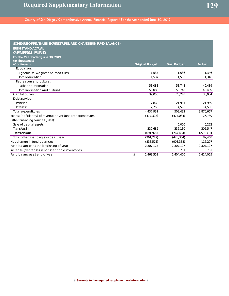| SCHEDULE OF REVENUES, EXPENDITURES, AND CHANGES IN FUND BALANCE - |                        |                     |            |
|-------------------------------------------------------------------|------------------------|---------------------|------------|
| <b>BUDGET AND ACTUAL</b>                                          |                        |                     |            |
| <b>GENERAL FUND</b>                                               |                        |                     |            |
| For the Year Ended June 30, 2019                                  |                        |                     |            |
| (In Thousands)                                                    |                        |                     |            |
| (Continued)                                                       | <b>Original Budget</b> | <b>Final Budget</b> | Actual     |
| Education:                                                        |                        |                     |            |
| Agriculture, weights and measures                                 | 1,537                  | 1,536               | 1,346      |
| Total education                                                   | 1.537                  | 1.536               | 1,346      |
| Recreation and cultural:                                          |                        |                     |            |
| Parks and recreation                                              | 53,088                 | 53,748              | 40,489     |
| Total recreation and cultural                                     | 53.088                 | 53,748              | 40,489     |
| Capital outlay                                                    | 39,058                 | 78,278              | 30,034     |
| Debt service:                                                     |                        |                     |            |
| Principal                                                         | 17.860                 | 21.961              | 21,959     |
| Interest                                                          | 12,758                 | 14,596              | 14,585     |
| <b>Total expenditures</b>                                         | 4,437,931              | 4,503,432           | 3,870,667  |
| Excess (deficiency) of revenues over (under) expenditures         | (477, 328)             | (477, 034)          | 26,739     |
| Other financing sources (uses):                                   |                        |                     |            |
| Sale of capital assets                                            |                        | 5,000               | 6,222      |
| Transfers in                                                      | 330.682                | 336.130             | 305,547    |
| Transfers out                                                     | (691, 929)             | (767, 484)          | (222, 301) |
| Total other financing sources (uses)                              | (361, 247)             | (426, 354)          | 89,468     |
| Net change in fund balances                                       | (838, 575)             | (903, 388)          | 116,207    |
| Fund balances at the beginning of year                            | 2,307,127              | 2,307,127           | 2,307,127  |
| Increase (decrease) in nonspendable inventories                   |                        | 731                 | 731        |
| Fund balances at end of year                                      | \$<br>1.468.552        | 1.404.470           | 2.424.065  |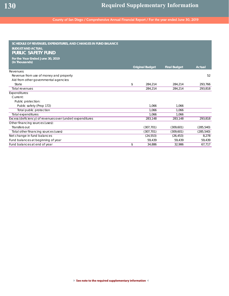| SCHEDULE OF REVENUES, EXPENDITURES, AND CHANGES IN FUND BALANCE<br><b>BUDGET AND ACTUAL</b> |                        |                     |            |
|---------------------------------------------------------------------------------------------|------------------------|---------------------|------------|
| <b>PUBLIC SAFETY FUND</b>                                                                   |                        |                     |            |
| For the Year Ended June 30, 2019<br>(In Thousands)                                          |                        |                     |            |
|                                                                                             | <b>Original Budget</b> | <b>Final Budget</b> | Actual     |
| Revenues:                                                                                   |                        |                     |            |
| Revenue from use of money and property                                                      |                        |                     | 52         |
| Aid from other governmental agencies:                                                       |                        |                     |            |
| State                                                                                       | \$<br>284,214          | 284,214             | 293,766    |
| <b>Total revenues</b>                                                                       | 284,214                | 284.214             | 293,818    |
| <b>Expenditures:</b>                                                                        |                        |                     |            |
| Current:                                                                                    |                        |                     |            |
| Public protection:                                                                          |                        |                     |            |
| Public safety (Prop 172)                                                                    | 1.066                  | 1.066               |            |
| Total public protection                                                                     | 1.066                  | 1.066               |            |
| <b>Total expenditures</b>                                                                   | 1.066                  | 1.066               |            |
| Excess (deficiency) of revenues over (under) expenditures                                   | 283,148                | 283,148             | 293,818    |
| Other financing sources (uses):                                                             |                        |                     |            |
| Transfers out                                                                               | (307, 701)             | (309, 601)          | (285, 540) |
| Total other financing sources (uses)                                                        | (307, 701)             | (309, 601)          | (285, 540) |
| Net change in fund balances                                                                 | (24, 553)              | (26, 453)           | 8,278      |
| Fund balances at beginning of year                                                          | 59,439                 | 59,439              | 59,439     |
| Fund balances at end of year                                                                | \$<br>34.886           | 32.986              | 67,717     |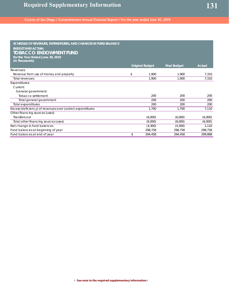| SCHEDULE OF REVENUES, EXPENDITURES, AND CHANGES IN FUND BALANCE<br><b>BUDGET AND ACTUAL</b><br><b>TOBACCO ENDOWMENT FUND</b><br>For the Year Ended June 30, 2019<br>(In Thousands) | <b>Original Budget</b> | <b>Final Budget</b> | <b>Actual</b> |
|------------------------------------------------------------------------------------------------------------------------------------------------------------------------------------|------------------------|---------------------|---------------|
| Revenues:                                                                                                                                                                          |                        |                     |               |
| Revenue from use of money and property                                                                                                                                             | \$<br>1.900            | 1.900               | 7,310         |
| <b>Total revenues</b>                                                                                                                                                              | 1,900                  | 1,900               | 7,310         |
| Expenditures:                                                                                                                                                                      |                        |                     |               |
| Current:                                                                                                                                                                           |                        |                     |               |
| General government:                                                                                                                                                                |                        |                     |               |
| Tobacco settlement                                                                                                                                                                 | 200                    | 200                 | 200           |
| Total general government                                                                                                                                                           | 200                    | 200                 | 200           |
| <b>Total expenditures</b>                                                                                                                                                          | 200                    | 200                 | 200           |
| Excess (deficiency) of revenues over (under) expenditures                                                                                                                          | 1,700                  | 1,700               | 7,110         |
| Other financing sources (uses):                                                                                                                                                    |                        |                     |               |
| Transfers out                                                                                                                                                                      | (6,000)                | (6,000)             | (6,000)       |
| Total other financing sources (uses)                                                                                                                                               | (6,000)                | (6,000)             | (6,000)       |
| Net change in fund balances                                                                                                                                                        | (4,300)                | (4,300)             | 1,110         |
| Fund balances at beginning of year                                                                                                                                                 | 298,758                | 298,758             | 298,758       |
| Fund balances at end of year                                                                                                                                                       | \$<br>294,458          | 294,458             | 299,868       |